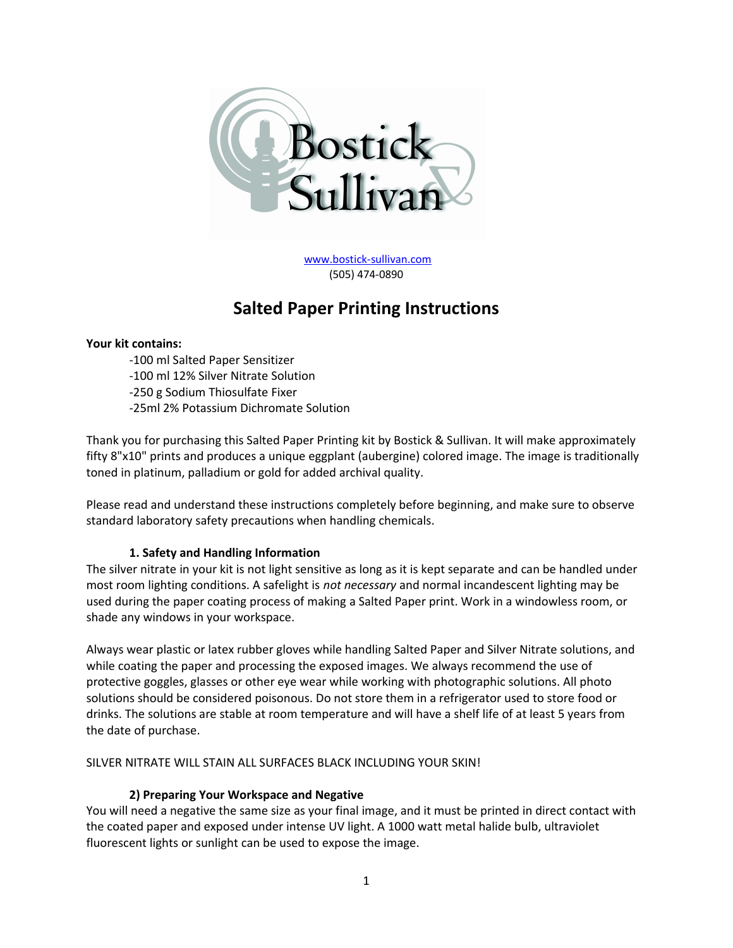

[www.bostick-sullivan.com](http://www.bostick-sullivan.com/) (505) 474-0890

# **Salted Paper Printing Instructions**

#### **Your kit contains:**

-100 ml Salted Paper Sensitizer -100 ml 12% Silver Nitrate Solution -250 g Sodium Thiosulfate Fixer -25ml 2% Potassium Dichromate Solution

Thank you for purchasing this Salted Paper Printing kit by Bostick & Sullivan. It will make approximately fifty 8"x10" prints and produces a unique eggplant (aubergine) colored image. The image is traditionally toned in platinum, palladium or gold for added archival quality.

Please read and understand these instructions completely before beginning, and make sure to observe standard laboratory safety precautions when handling chemicals.

# **1. Safety and Handling Information**

The silver nitrate in your kit is not light sensitive as long as it is kept separate and can be handled under most room lighting conditions. A safelight is *not necessary* and normal incandescent lighting may be used during the paper coating process of making a Salted Paper print. Work in a windowless room, or shade any windows in your workspace.

Always wear plastic or latex rubber gloves while handling Salted Paper and Silver Nitrate solutions, and while coating the paper and processing the exposed images. We always recommend the use of protective goggles, glasses or other eye wear while working with photographic solutions. All photo solutions should be considered poisonous. Do not store them in a refrigerator used to store food or drinks. The solutions are stable at room temperature and will have a shelf life of at least 5 years from the date of purchase.

SILVER NITRATE WILL STAIN ALL SURFACES BLACK INCLUDING YOUR SKIN!

# **2) Preparing Your Workspace and Negative**

You will need a negative the same size as your final image, and it must be printed in direct contact with the coated paper and exposed under intense UV light. A 1000 watt metal halide bulb, ultraviolet fluorescent lights or sunlight can be used to expose the image.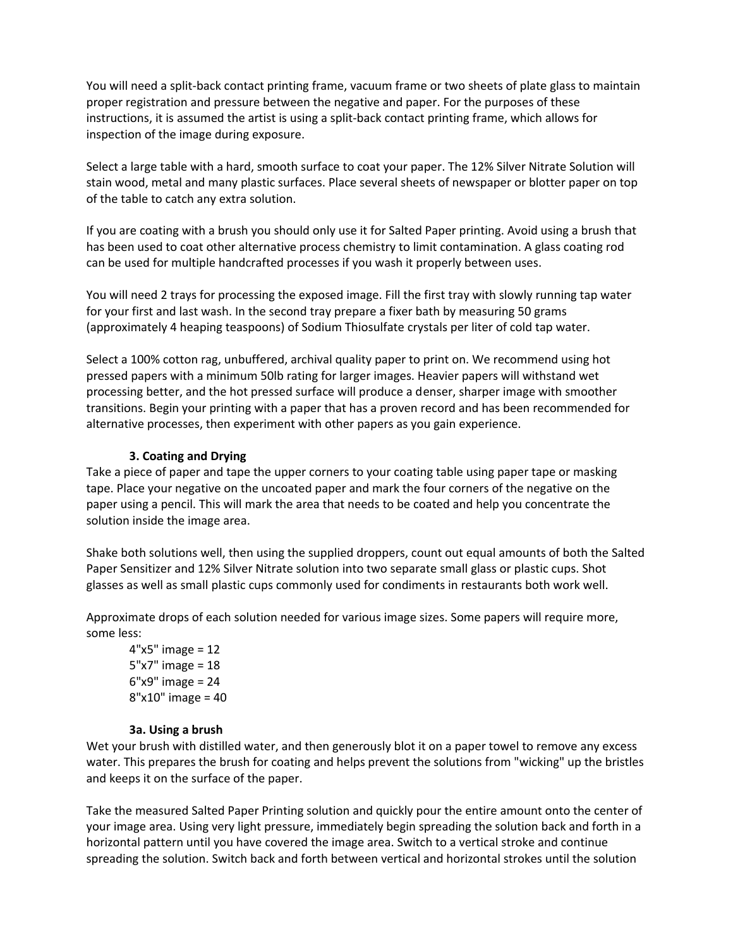You will need a split-back contact printing frame, vacuum frame or two sheets of plate glass to maintain proper registration and pressure between the negative and paper. For the purposes of these instructions, it is assumed the artist is using a split-back contact printing frame, which allows for inspection of the image during exposure.

Select a large table with a hard, smooth surface to coat your paper. The 12% Silver Nitrate Solution will stain wood, metal and many plastic surfaces. Place several sheets of newspaper or blotter paper on top of the table to catch any extra solution.

If you are coating with a brush you should only use it for Salted Paper printing. Avoid using a brush that has been used to coat other alternative process chemistry to limit contamination. A glass coating rod can be used for multiple handcrafted processes if you wash it properly between uses.

You will need 2 trays for processing the exposed image. Fill the first tray with slowly running tap water for your first and last wash. In the second tray prepare a fixer bath by measuring 50 grams (approximately 4 heaping teaspoons) of Sodium Thiosulfate crystals per liter of cold tap water.

Select a 100% cotton rag, unbuffered, archival quality paper to print on. We recommend using hot pressed papers with a minimum 50lb rating for larger images. Heavier papers will withstand wet processing better, and the hot pressed surface will produce a denser, sharper image with smoother transitions. Begin your printing with a paper that has a proven record and has been recommended for alternative processes, then experiment with other papers as you gain experience.

## **3. Coating and Drying**

Take a piece of paper and tape the upper corners to your coating table using paper tape or masking tape. Place your negative on the uncoated paper and mark the four corners of the negative on the paper using a pencil. This will mark the area that needs to be coated and help you concentrate the solution inside the image area.

Shake both solutions well, then using the supplied droppers, count out equal amounts of both the Salted Paper Sensitizer and 12% Silver Nitrate solution into two separate small glass or plastic cups. Shot glasses as well as small plastic cups commonly used for condiments in restaurants both work well.

Approximate drops of each solution needed for various image sizes. Some papers will require more, some less:

4"x5" image = 12 5"x7" image = 18 6"x9" image = 24 8"x10" image = 40

#### **3a. Using a brush**

Wet your brush with distilled water, and then generously blot it on a paper towel to remove any excess water. This prepares the brush for coating and helps prevent the solutions from "wicking" up the bristles and keeps it on the surface of the paper.

Take the measured Salted Paper Printing solution and quickly pour the entire amount onto the center of your image area. Using very light pressure, immediately begin spreading the solution back and forth in a horizontal pattern until you have covered the image area. Switch to a vertical stroke and continue spreading the solution. Switch back and forth between vertical and horizontal strokes until the solution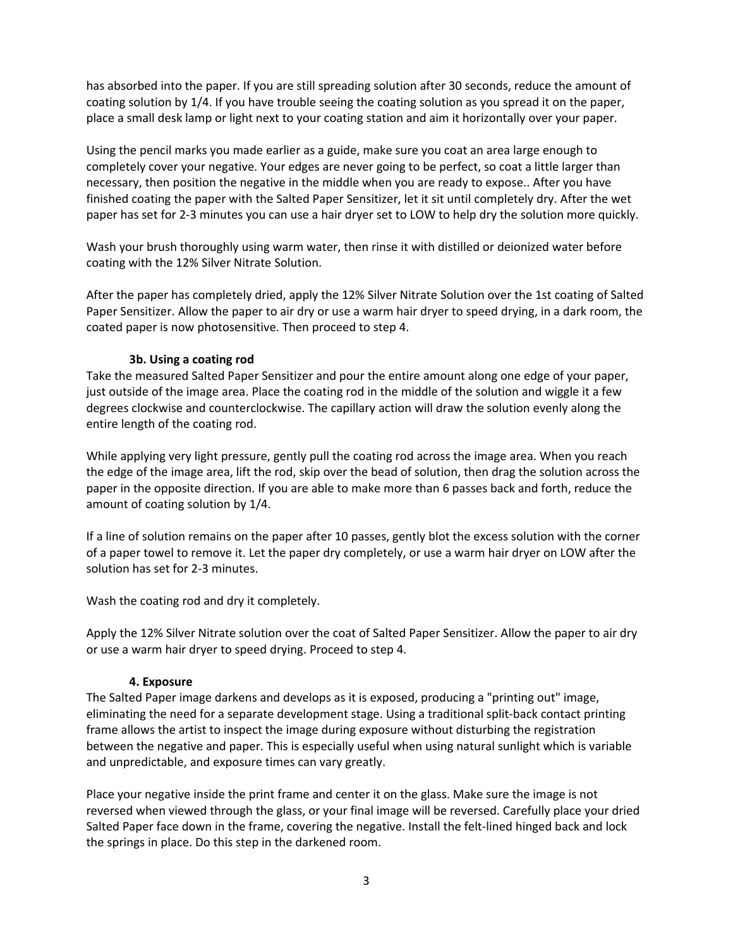has absorbed into the paper. If you are still spreading solution after 30 seconds, reduce the amount of coating solution by 1/4. If you have trouble seeing the coating solution as you spread it on the paper, place a small desk lamp or light next to your coating station and aim it horizontally over your paper.

Using the pencil marks you made earlier as a guide, make sure you coat an area large enough to completely cover your negative. Your edges are never going to be perfect, so coat a little larger than necessary, then position the negative in the middle when you are ready to expose.. After you have finished coating the paper with the Salted Paper Sensitizer, let it sit until completely dry. After the wet paper has set for 2-3 minutes you can use a hair dryer set to LOW to help dry the solution more quickly.

Wash your brush thoroughly using warm water, then rinse it with distilled or deionized water before coating with the 12% Silver Nitrate Solution.

After the paper has completely dried, apply the 12% Silver Nitrate Solution over the 1st coating of Salted Paper Sensitizer. Allow the paper to air dry or use a warm hair dryer to speed drying, in a dark room, the coated paper is now photosensitive. Then proceed to step 4.

## **3b. Using a coating rod**

Take the measured Salted Paper Sensitizer and pour the entire amount along one edge of your paper, just outside of the image area. Place the coating rod in the middle of the solution and wiggle it a few degrees clockwise and counterclockwise. The capillary action will draw the solution evenly along the entire length of the coating rod.

While applying very light pressure, gently pull the coating rod across the image area. When you reach the edge of the image area, lift the rod, skip over the bead of solution, then drag the solution across the paper in the opposite direction. If you are able to make more than 6 passes back and forth, reduce the amount of coating solution by 1/4.

If a line of solution remains on the paper after 10 passes, gently blot the excess solution with the corner of a paper towel to remove it. Let the paper dry completely, or use a warm hair dryer on LOW after the solution has set for 2-3 minutes.

Wash the coating rod and dry it completely.

Apply the 12% Silver Nitrate solution over the coat of Salted Paper Sensitizer. Allow the paper to air dry or use a warm hair dryer to speed drying. Proceed to step 4.

#### **4. Exposure**

The Salted Paper image darkens and develops as it is exposed, producing a "printing out" image, eliminating the need for a separate development stage. Using a traditional split-back contact printing frame allows the artist to inspect the image during exposure without disturbing the registration between the negative and paper. This is especially useful when using natural sunlight which is variable and unpredictable, and exposure times can vary greatly.

Place your negative inside the print frame and center it on the glass. Make sure the image is not reversed when viewed through the glass, or your final image will be reversed. Carefully place your dried Salted Paper face down in the frame, covering the negative. Install the felt-lined hinged back and lock the springs in place. Do this step in the darkened room.